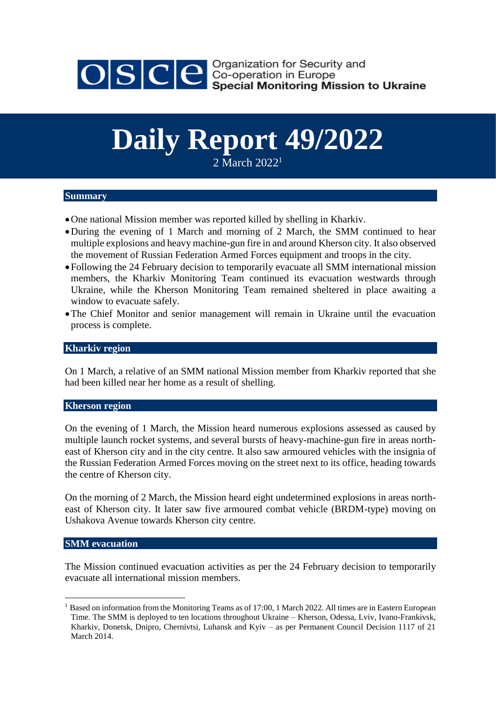

OSCE Security and<br>Seco-operation in Europe<br>Special Monitoring Mission to Ukraine

# **Daily Report 49/2022**

2 March 2022<sup>1</sup>

# **Summary**

- One national Mission member was reported killed by shelling in Kharkiv.
- During the evening of 1 March and morning of 2 March, the SMM continued to hear multiple explosions and heavy machine-gun fire in and around Kherson city. It also observed the movement of Russian Federation Armed Forces equipment and troops in the city.
- Following the 24 February decision to temporarily evacuate all SMM international mission members, the Kharkiv Monitoring Team continued its evacuation westwards through Ukraine, while the Kherson Monitoring Team remained sheltered in place awaiting a window to evacuate safely.
- The Chief Monitor and senior management will remain in Ukraine until the evacuation process is complete.

#### **Kharkiv region**

On 1 March, a relative of an SMM national Mission member from Kharkiv reported that she had been killed near her home as a result of shelling.

## **Kherson region**

On the evening of 1 March, the Mission heard numerous explosions assessed as caused by multiple launch rocket systems, and several bursts of heavy-machine-gun fire in areas northeast of Kherson city and in the city centre. It also saw armoured vehicles with the insignia of the Russian Federation Armed Forces moving on the street next to its office, heading towards the centre of Kherson city.

On the morning of 2 March, the Mission heard eight undetermined explosions in areas northeast of Kherson city. It later saw five armoured combat vehicle (BRDM-type) moving on Ushakova Avenue towards Kherson city centre.

## **SMM evacuation**

<u>.</u>

The Mission continued evacuation activities as per the 24 February decision to temporarily evacuate all international mission members.

<sup>&</sup>lt;sup>1</sup> Based on information from the Monitoring Teams as of 17:00, 1 March 2022. All times are in Eastern European Time. The SMM is deployed to ten locations throughout Ukraine – Kherson, Odessa, Lviv, Ivano-Frankivsk, Kharkiv, Donetsk, Dnipro, Chernivtsi, Luhansk and Kyiv – as per Permanent Council Decision 1117 of 21 March 2014.